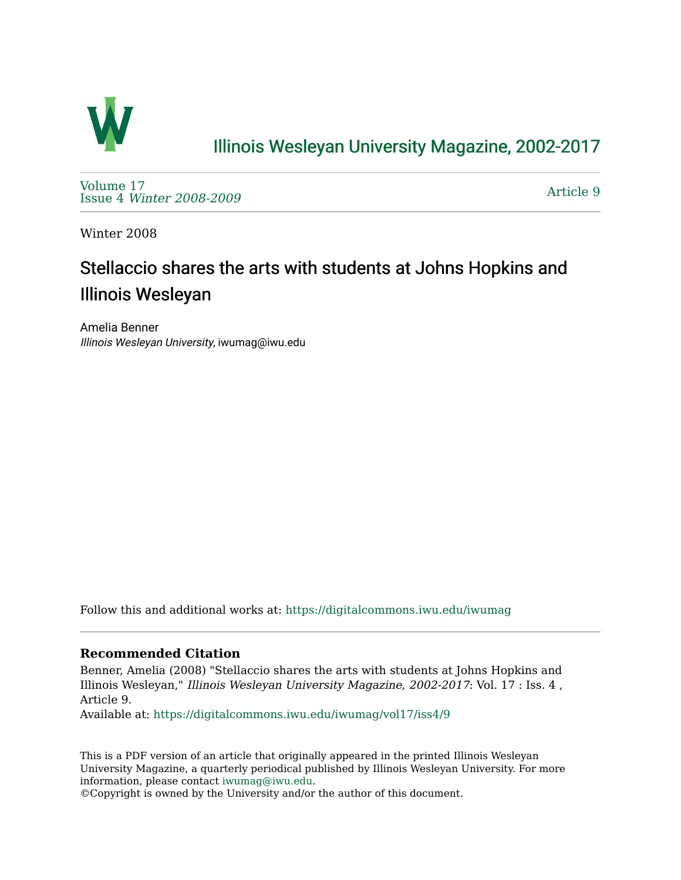

### [Illinois Wesleyan University Magazine, 2002-2017](https://digitalcommons.iwu.edu/iwumag)

[Volume 17](https://digitalcommons.iwu.edu/iwumag/vol17)  Issue 4 [Winter 2008-2009](https://digitalcommons.iwu.edu/iwumag/vol17/iss4)

[Article 9](https://digitalcommons.iwu.edu/iwumag/vol17/iss4/9) 

Winter 2008

# Stellaccio shares the arts with students at Johns Hopkins and Illinois Wesleyan

Amelia Benner Illinois Wesleyan University, iwumag@iwu.edu

Follow this and additional works at: [https://digitalcommons.iwu.edu/iwumag](https://digitalcommons.iwu.edu/iwumag?utm_source=digitalcommons.iwu.edu%2Fiwumag%2Fvol17%2Fiss4%2F9&utm_medium=PDF&utm_campaign=PDFCoverPages) 

#### **Recommended Citation**

Benner, Amelia (2008) "Stellaccio shares the arts with students at Johns Hopkins and Illinois Wesleyan," Illinois Wesleyan University Magazine, 2002-2017: Vol. 17 : Iss. 4 , Article 9.

Available at: [https://digitalcommons.iwu.edu/iwumag/vol17/iss4/9](https://digitalcommons.iwu.edu/iwumag/vol17/iss4/9?utm_source=digitalcommons.iwu.edu%2Fiwumag%2Fvol17%2Fiss4%2F9&utm_medium=PDF&utm_campaign=PDFCoverPages)

This is a PDF version of an article that originally appeared in the printed Illinois Wesleyan University Magazine, a quarterly periodical published by Illinois Wesleyan University. For more information, please contact [iwumag@iwu.edu](mailto:iwumag@iwu.edu).

©Copyright is owned by the University and/or the author of this document.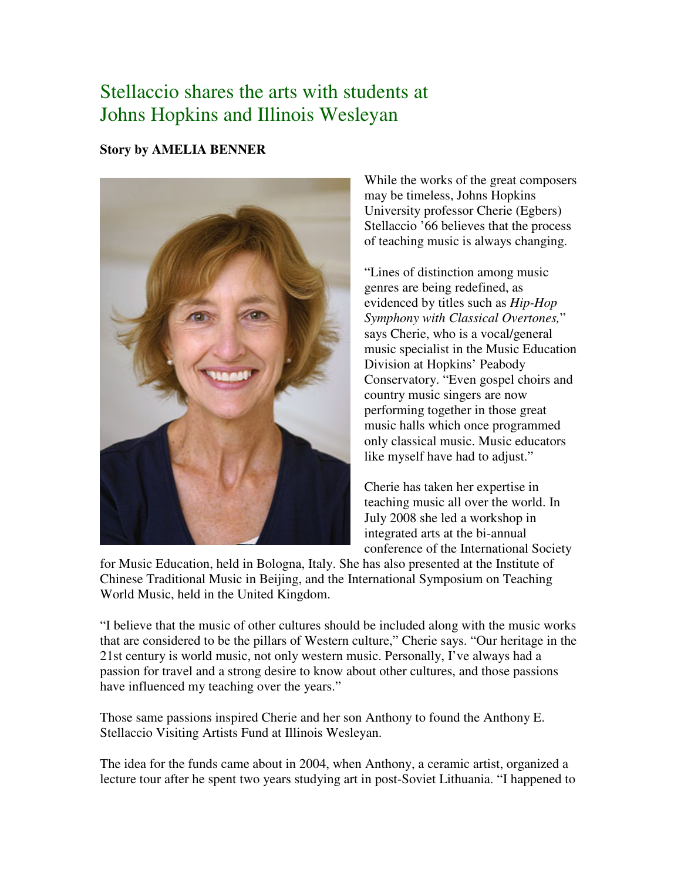## Stellaccio shares the arts with students at Johns Hopkins and Illinois Wesleyan

#### **Story by AMELIA BENNER**



While the works of the great composers may be timeless, Johns Hopkins University professor Cherie (Egbers) Stellaccio '66 believes that the process of teaching music is always changing.

"Lines of distinction among music genres are being redefined, as evidenced by titles such as *Hip-Hop Symphony with Classical Overtones,*" says Cherie, who is a vocal/general music specialist in the Music Education Division at Hopkins' Peabody Conservatory. "Even gospel choirs and country music singers are now performing together in those great music halls which once programmed only classical music. Music educators like myself have had to adjust."

Cherie has taken her expertise in teaching music all over the world. In July 2008 she led a workshop in integrated arts at the bi-annual conference of the International Society

for Music Education, held in Bologna, Italy. She has also presented at the Institute of Chinese Traditional Music in Beijing, and the International Symposium on Teaching World Music, held in the United Kingdom.

"I believe that the music of other cultures should be included along with the music works that are considered to be the pillars of Western culture," Cherie says. "Our heritage in the 21st century is world music, not only western music. Personally, I've always had a passion for travel and a strong desire to know about other cultures, and those passions have influenced my teaching over the years."

Those same passions inspired Cherie and her son Anthony to found the Anthony E. Stellaccio Visiting Artists Fund at Illinois Wesleyan.

The idea for the funds came about in 2004, when Anthony, a ceramic artist, organized a lecture tour after he spent two years studying art in post-Soviet Lithuania. "I happened to